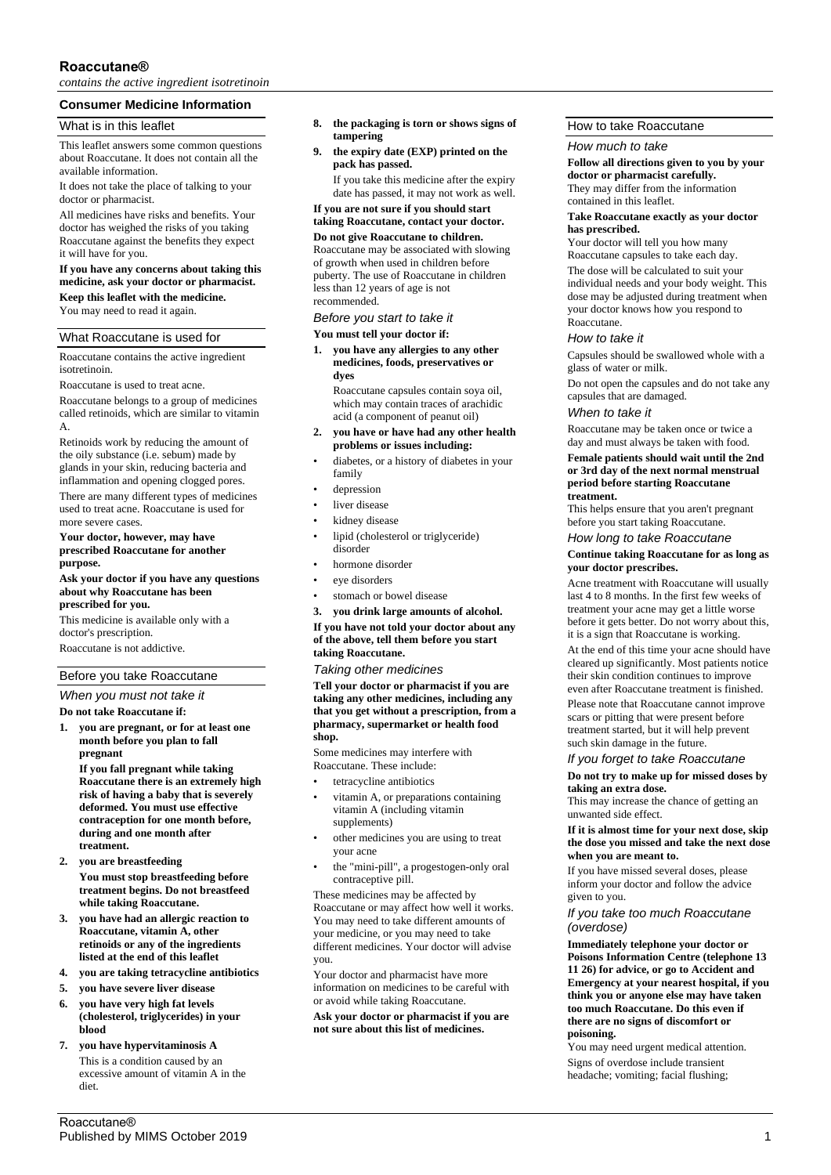# **Roaccutane®**

*contains the active ingredient isotretinoin*

# **Consumer Medicine Information**

### What is in this leaflet

This leaflet answers some common questions about Roaccutane. It does not contain all the available information.

It does not take the place of talking to your doctor or pharmacist.

All medicines have risks and benefits. Your doctor has weighed the risks of you taking Roaccutane against the benefits they expect it will have for you.

### **If you have any concerns about taking this medicine, ask your doctor or pharmacist. Keep this leaflet with the medicine.**

You may need to read it again.

# What Roaccutane is used for

Roaccutane contains the active ingredient isotretinoin.

Roaccutane is used to treat acne.

Roaccutane belongs to a group of medicines called retinoids, which are similar to vitamin A.

Retinoids work by reducing the amount of the oily substance (i.e. sebum) made by glands in your skin, reducing bacteria and inflammation and opening clogged pores. There are many different types of medicines used to treat acne. Roaccutane is used for more severe cases.

#### **Your doctor, however, may have prescribed Roaccutane for another purpose.**

#### **Ask your doctor if you have any questions about why Roaccutane has been prescribed for you.**

This medicine is available only with a doctor's prescription.

Roaccutane is not addictive.

# Before you take Roaccutane

# *When you must not take it*

**Do not take Roaccutane if:**

**1. you are pregnant, or for at least one month before you plan to fall pregnant If you fall pregnant while taking** 

**Roaccutane there is an extremely high risk of having a baby that is severely deformed. You must use effective contraception for one month before, during and one month after treatment.**

- **2. you are breastfeeding You must stop breastfeeding before treatment begins. Do not breastfeed while taking Roaccutane.**
- **3. you have had an allergic reaction to Roaccutane, vitamin A, other retinoids or any of the ingredients listed at the end of this leaflet**
- **4. you are taking tetracycline antibiotics**
- **5. you have severe liver disease**
- **6. you have very high fat levels (cholesterol, triglycerides) in your blood**
- **7. you have hypervitaminosis A** This is a condition caused by an excessive amount of vitamin A in the diet.
- **8. the packaging is torn or shows signs of tampering**
- **9. the expiry date (EXP) printed on the pack has passed.**

If you take this medicine after the expiry date has passed, it may not work as well.

# **If you are not sure if you should start taking Roaccutane, contact your doctor.**

**Do not give Roaccutane to children.** Roaccutane may be associated with slowing of growth when used in children before puberty. The use of Roaccutane in children less than 12 years of age is not recommended.

# *Before you start to take it*

# **You must tell your doctor if:**

**1. you have any allergies to any other medicines, foods, preservatives or dyes**

Roaccutane capsules contain soya oil, which may contain traces of arachidic acid (a component of peanut oil)

- **2. you have or have had any other health problems or issues including:**
- diabetes, or a history of diabetes in your family
- depression
- liver disease
- kidney disease
- lipid (cholesterol or triglyceride) disorder
- hormone disorder
- eye disorders
- stomach or bowel disease
- **3. you drink large amounts of alcohol.**

#### **If you have not told your doctor about any of the above, tell them before you start taking Roaccutane.**

### *Taking other medicines*

**Tell your doctor or pharmacist if you are taking any other medicines, including any that you get without a prescription, from a pharmacy, supermarket or health food shop.**

Some medicines may interfere with Roaccutane. These include:

- tetracycline antibiotics
- vitamin A, or preparations containing vitamin A (including vitamin supplements)
- other medicines you are using to treat your acne
- the "mini-pill", a progestogen-only oral contraceptive pill.

These medicines may be affected by Roaccutane or may affect how well it works. You may need to take different amounts of your medicine, or you may need to take different medicines. Your doctor will advise you.

Your doctor and pharmacist have more information on medicines to be careful with or avoid while taking Roaccutane.

**Ask your doctor or pharmacist if you are not sure about this list of medicines.**

# How to take Roaccutane

# *How much to take*

### **Follow all directions given to you by your doctor or pharmacist carefully.**

They may differ from the information contained in this leaflet.

#### **Take Roaccutane exactly as your doctor has prescribed.**

Your doctor will tell you how many Roaccutane capsules to take each day.

The dose will be calculated to suit your individual needs and your body weight. This dose may be adjusted during treatment when your doctor knows how you respond to Roaccutane.

### *How to take it*

Capsules should be swallowed whole with a glass of water or milk.

Do not open the capsules and do not take any capsules that are damaged.

### *When to take it*

Roaccutane may be taken once or twice a day and must always be taken with food.

#### **Female patients should wait until the 2nd or 3rd day of the next normal menstrual period before starting Roaccutane treatment.**

This helps ensure that you aren't pregnant before you start taking Roaccutane.

#### *How long to take Roaccutane*

### **Continue taking Roaccutane for as long as your doctor prescribes.**

Acne treatment with Roaccutane will usually last 4 to 8 months. In the first few weeks of treatment your acne may get a little worse before it gets better. Do not worry about this, it is a sign that Roaccutane is working.

At the end of this time your acne should have cleared up significantly. Most patients notice their skin condition continues to improve even after Roaccutane treatment is finished.

Please note that Roaccutane cannot improve scars or pitting that were present before treatment started, but it will help prevent such skin damage in the future.

### *If you forget to take Roaccutane*

#### **Do not try to make up for missed doses by taking an extra dose.**

This may increase the chance of getting an unwanted side effect.

#### **If it is almost time for your next dose, skip the dose you missed and take the next dose when you are meant to.**

If you have missed several doses, please inform your doctor and follow the advice given to you.

### *If you take too much Roaccutane (overdose)*

**Immediately telephone your doctor or Poisons Information Centre (telephone 13 11 26) for advice, or go to Accident and Emergency at your nearest hospital, if you think you or anyone else may have taken too much Roaccutane. Do this even if there are no signs of discomfort or poisoning.**

You may need urgent medical attention. Signs of overdose include transient headache; vomiting; facial flushing;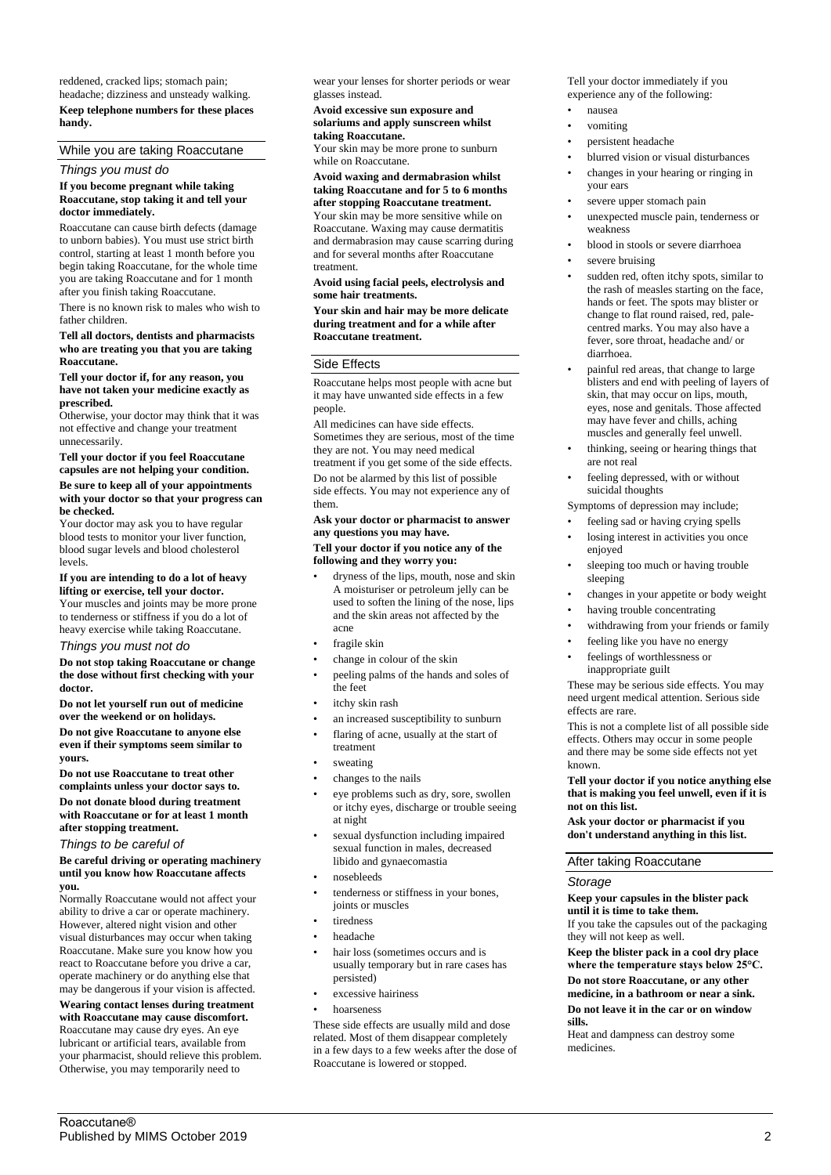reddened, cracked lips; stomach pain; headache; dizziness and unsteady walking. **Keep telephone numbers for these places handy.**

# While you are taking Roaccutane

### *Things you must do*

#### **If you become pregnant while taking Roaccutane, stop taking it and tell your doctor immediately.**

Roaccutane can cause birth defects (damage to unborn babies). You must use strict birth control, starting at least 1 month before you begin taking Roaccutane, for the whole time you are taking Roaccutane and for 1 month after you finish taking Roaccutane.

There is no known risk to males who wish to father children.

#### **Tell all doctors, dentists and pharmacists who are treating you that you are taking Roaccutane.**

#### **Tell your doctor if, for any reason, you have not taken your medicine exactly as prescribed.**

Otherwise, your doctor may think that it was not effective and change your treatment unnecessarily.

**Tell your doctor if you feel Roaccutane capsules are not helping your condition.**

#### **Be sure to keep all of your appointments with your doctor so that your progress can be checked.**

Your doctor may ask you to have regular blood tests to monitor your liver function, blood sugar levels and blood cholesterol levels.

#### **If you are intending to do a lot of heavy lifting or exercise, tell your doctor.**

Your muscles and joints may be more prone to tenderness or stiffness if you do a lot of heavy exercise while taking Roaccutane.

# *Things you must not do*

**Do not stop taking Roaccutane or change the dose without first checking with your doctor.**

**Do not let yourself run out of medicine over the weekend or on holidays.**

**Do not give Roaccutane to anyone else even if their symptoms seem similar to yours.**

**Do not use Roaccutane to treat other complaints unless your doctor says to. Do not donate blood during treatment with Roaccutane or for at least 1 month after stopping treatment.**

*Things to be careful of*

#### **Be careful driving or operating machinery until you know how Roaccutane affects you.**

Normally Roaccutane would not affect your ability to drive a car or operate machinery. However, altered night vision and other visual disturbances may occur when taking Roaccutane. Make sure you know how you react to Roaccutane before you drive a car, operate machinery or do anything else that may be dangerous if your vision is affected.

#### **Wearing contact lenses during treatment with Roaccutane may cause discomfort.** Roaccutane may cause dry eyes. An eye lubricant or artificial tears, available from your pharmacist, should relieve this problem. Otherwise, you may temporarily need to

wear your lenses for shorter periods or wear glasses instead.

#### **Avoid excessive sun exposure and solariums and apply sunscreen whilst taking Roaccutane.**

Your skin may be more prone to sunburn while on Roaccutane.

#### **Avoid waxing and dermabrasion whilst taking Roaccutane and for 5 to 6 months after stopping Roaccutane treatment.**

Your skin may be more sensitive while on Roaccutane. Waxing may cause dermatitis and dermabrasion may cause scarring during and for several months after Roaccutane treatment.

# **Avoid using facial peels, electrolysis and some hair treatments.**

### **Your skin and hair may be more delicate during treatment and for a while after Roaccutane treatment.**

# Side Effects

Roaccutane helps most people with acne but it may have unwanted side effects in a few people.

All medicines can have side effects. Sometimes they are serious, most of the time they are not. You may need medical treatment if you get some of the side effects. Do not be alarmed by this list of possible side effects. You may not experience any of them.

#### **Ask your doctor or pharmacist to answer any questions you may have. Tell your doctor if you notice any of the**

**following and they worry you:**

- dryness of the lips, mouth, nose and skin A moisturiser or petroleum jelly can be used to soften the lining of the nose, lips and the skin areas not affected by the acne
- fragile skin
- change in colour of the skin
- peeling palms of the hands and soles of the feet
- itchy skin rash
- an increased susceptibility to sunburn
- flaring of acne, usually at the start of treatment
- sweating
- changes to the nails
- eye problems such as dry, sore, swollen or itchy eyes, discharge or trouble seeing at night
- sexual dysfunction including impaired sexual function in males, decreased libido and gynaecomastia
- nosebleeds
- tenderness or stiffness in your bones, joints or muscles
- tiredness
- headache
- hair loss (sometimes occurs and is usually temporary but in rare cases has persisted)
- excessive hairiness
- hoarseness

These side effects are usually mild and dose related. Most of them disappear completely in a few days to a few weeks after the dose of Roaccutane is lowered or stopped.

Tell your doctor immediately if you experience any of the following:

- nausea
- vomiting
- persistent headache
- blurred vision or visual disturbances
- changes in your hearing or ringing in your ears
- severe upper stomach pain
- unexpected muscle pain, tenderness or weakness
- blood in stools or severe diarrhoea
- severe bruising
- sudden red, often itchy spots, similar to the rash of measles starting on the face, hands or feet. The spots may blister or change to flat round raised, red, palecentred marks. You may also have a fever, sore throat, headache and/ or diarrhoea.
- painful red areas, that change to large blisters and end with peeling of layers of skin, that may occur on lips, mouth, eyes, nose and genitals. Those affected may have fever and chills, aching muscles and generally feel unwell.
- thinking, seeing or hearing things that are not real
- feeling depressed, with or without suicidal thoughts
- Symptoms of depression may include;
- feeling sad or having crying spells
- losing interest in activities you once enjoyed
- sleeping too much or having trouble sleeping
- changes in your appetite or body weight
- having trouble concentrating
- withdrawing from your friends or family
- feeling like you have no energy
- feelings of worthlessness or inappropriate guilt

These may be serious side effects. You may need urgent medical attention. Serious side effects are rare.

This is not a complete list of all possible side effects. Others may occur in some people and there may be some side effects not yet known.

**Tell your doctor if you notice anything else that is making you feel unwell, even if it is not on this list.**

**Ask your doctor or pharmacist if you don't understand anything in this list.**

After taking Roaccutane

### *Storage*

**Keep your capsules in the blister pack until it is time to take them.**

If you take the capsules out of the packaging they will not keep as well.

**Keep the blister pack in a cool dry place where the temperature stays below 25°C. Do not store Roaccutane, or any other** 

**medicine, in a bathroom or near a sink. Do not leave it in the car or on window sills.**

Heat and dampness can destroy some medicines.